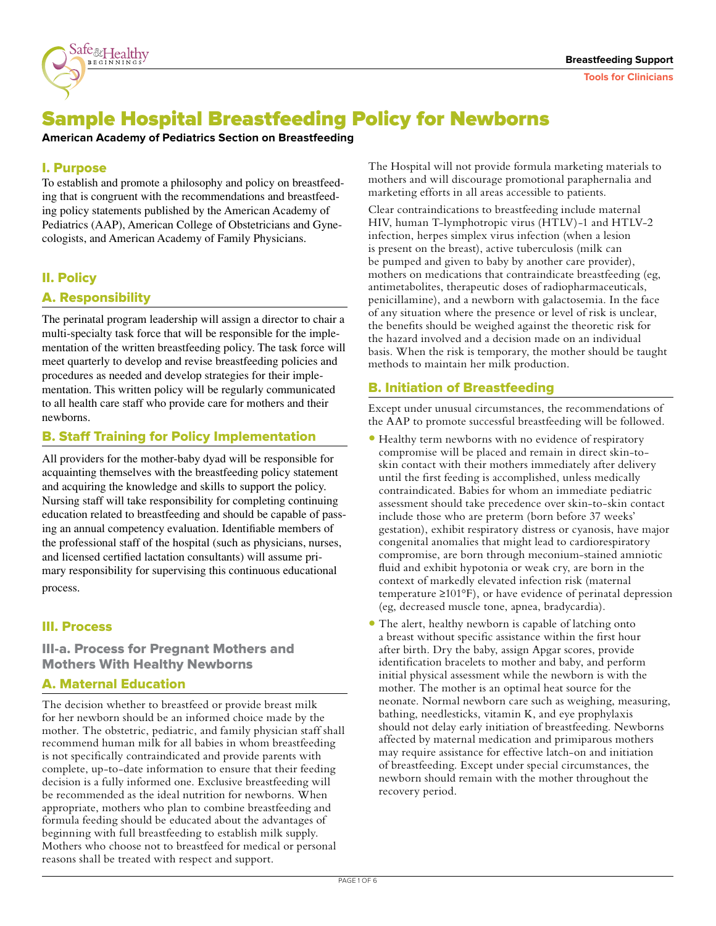

# Sample Hospital Breastfeeding Policy for Newborns

**American Academy of Pediatrics Section on Breastfeeding**

## I. Purpose

To establish and promote a philosophy and policy on breastfeeding that is congruent with the recommendations and breastfeeding policy statements published by the American Academy of Pediatrics (AAP), American College of Obstetricians and Gynecologists, and American Academy of Family Physicians.

# II. Policy

## A. Responsibility

The perinatal program leadership will assign a director to chair a multi-specialty task force that will be responsible for the implementation of the written breastfeeding policy. The task force will meet quarterly to develop and revise breastfeeding policies and procedures as needed and develop strategies for their implementation. This written policy will be regularly communicated to all health care staff who provide care for mothers and their newborns.

## B. Staff Training for Policy Implementation

All providers for the mother-baby dyad will be responsible for acquainting themselves with the breastfeeding policy statement and acquiring the knowledge and skills to support the policy. Nursing staff will take responsibility for completing continuing education related to breastfeeding and should be capable of passing an annual competency evaluation. Identifiable members of the professional staff of the hospital (such as physicians, nurses, and licensed certified lactation consultants) will assume primary responsibility for supervising this continuous educational process.

## III. Process

## III-a. Process for Pregnant Mothers and Mothers With Healthy Newborns

## A. Maternal Education

The decision whether to breastfeed or provide breast milk for her newborn should be an informed choice made by the mother. The obstetric, pediatric, and family physician staff shall recommend human milk for all babies in whom breastfeeding is not specifically contraindicated and provide parents with complete, up-to-date information to ensure that their feeding decision is a fully informed one. Exclusive breastfeeding will be recommended as the ideal nutrition for newborns. When appropriate, mothers who plan to combine breastfeeding and formula feeding should be educated about the advantages of beginning with full breastfeeding to establish milk supply. Mothers who choose not to breastfeed for medical or personal reasons shall be treated with respect and support.

The Hospital will not provide formula marketing materials to mothers and will discourage promotional paraphernalia and marketing efforts in all areas accessible to patients.

Clear contraindications to breastfeeding include maternal HIV, human T-lymphotropic virus (HTLV)-1 and HTLV-2 infection, herpes simplex virus infection (when a lesion is present on the breast), active tuberculosis (milk can be pumped and given to baby by another care provider), mothers on medications that contraindicate breastfeeding (eg, antimetabolites, therapeutic doses of radiopharmaceuticals, penicillamine), and a newborn with galactosemia. In the face of any situation where the presence or level of risk is unclear, the benefits should be weighed against the theoretic risk for the hazard involved and a decision made on an individual basis. When the risk is temporary, the mother should be taught methods to maintain her milk production.

## B. Initiation of Breastfeeding

Except under unusual circumstances, the recommendations of the AAP to promote successful breastfeeding will be followed.

- • Healthy term newborns with no evidence of respiratory compromise will be placed and remain in direct skin-toskin contact with their mothers immediately after delivery until the first feeding is accomplished, unless medically contraindicated. Babies for whom an immediate pediatric assessment should take precedence over skin-to-skin contact include those who are preterm (born before 37 weeks' gestation), exhibit respiratory distress or cyanosis, have major congenital anomalies that might lead to cardiorespiratory compromise, are born through meconium-stained amniotic fluid and exhibit hypotonia or weak cry, are born in the context of markedly elevated infection risk (maternal temperature ≥101°F), or have evidence of perinatal depression (eg, decreased muscle tone, apnea, bradycardia).
- The alert, healthy newborn is capable of latching onto a breast without specific assistance within the first hour after birth. Dry the baby, assign Apgar scores, provide identification bracelets to mother and baby, and perform initial physical assessment while the newborn is with the mother. The mother is an optimal heat source for the neonate. Normal newborn care such as weighing, measuring, bathing, needlesticks, vitamin K, and eye prophylaxis should not delay early initiation of breastfeeding. Newborns affected by maternal medication and primiparous mothers may require assistance for effective latch-on and initiation of breastfeeding. Except under special circumstances, the newborn should remain with the mother throughout the recovery period.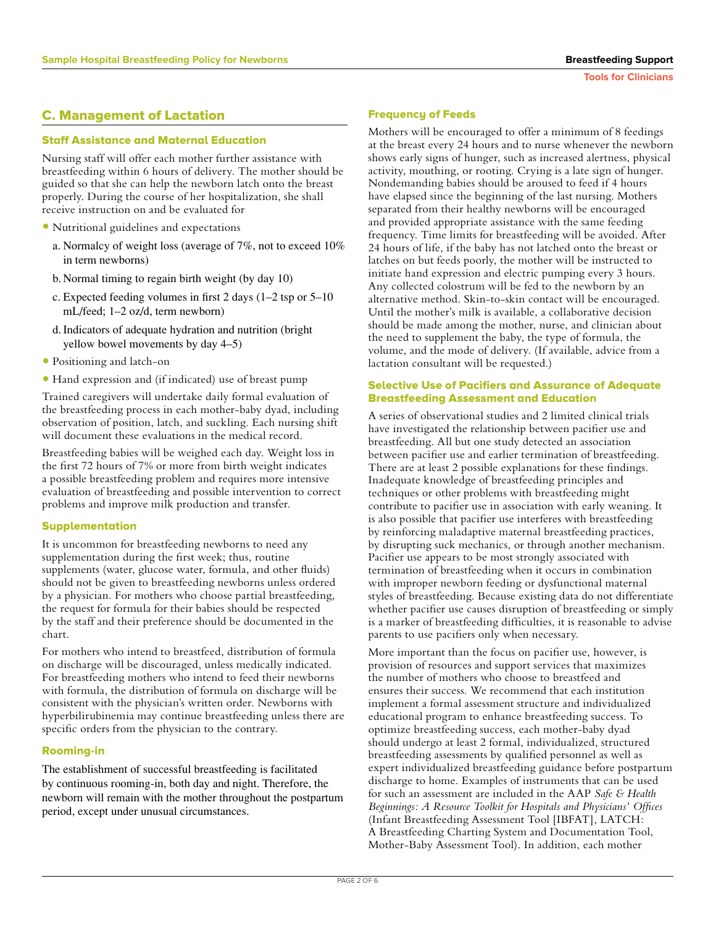**Tools for Clinicians**

## C. Management of Lactation

#### Staff Assistance and Maternal Education

Nursing staff will offer each mother further assistance with breastfeeding within 6 hours of delivery. The mother should be guided so that she can help the newborn latch onto the breast properly. During the course of her hospitalization, she shall receive instruction on and be evaluated for

- Nutritional guidelines and expectations
	- a. Normalcy of weight loss (average of 7%, not to exceed 10% in term newborns)
	- b. Normal timing to regain birth weight (by day 10)
	- c. Expected feeding volumes in first 2 days (1–2 tsp or 5–10 mL/feed; 1–2 oz/d, term newborn)
	- d.Indicators of adequate hydration and nutrition (bright yellow bowel movements by day 4–5)
- • Positioning and latch-on
- • Hand expression and (if indicated) use of breast pump

Trained caregivers will undertake daily formal evaluation of the breastfeeding process in each mother-baby dyad, including observation of position, latch, and suckling. Each nursing shift will document these evaluations in the medical record.

Breastfeeding babies will be weighed each day. Weight loss in the first 72 hours of 7% or more from birth weight indicates a possible breastfeeding problem and requires more intensive evaluation of breastfeeding and possible intervention to correct problems and improve milk production and transfer.

## Supplementation

It is uncommon for breastfeeding newborns to need any supplementation during the first week; thus, routine supplements (water, glucose water, formula, and other fluids) should not be given to breastfeeding newborns unless ordered by a physician. For mothers who choose partial breastfeeding, the request for formula for their babies should be respected by the staff and their preference should be documented in the chart.

For mothers who intend to breastfeed, distribution of formula on discharge will be discouraged, unless medically indicated. For breastfeeding mothers who intend to feed their newborns with formula, the distribution of formula on discharge will be consistent with the physician's written order. Newborns with hyperbilirubinemia may continue breastfeeding unless there are specific orders from the physician to the contrary.

## Rooming-in

The establishment of successful breastfeeding is facilitated by continuous rooming-in, both day and night. Therefore, the newborn will remain with the mother throughout the postpartum period, except under unusual circumstances.

## Frequency of Feeds

Mothers will be encouraged to offer a minimum of 8 feedings at the breast every 24 hours and to nurse whenever the newborn shows early signs of hunger, such as increased alertness, physical activity, mouthing, or rooting. Crying is a late sign of hunger. Nondemanding babies should be aroused to feed if 4 hours have elapsed since the beginning of the last nursing. Mothers separated from their healthy newborns will be encouraged and provided appropriate assistance with the same feeding frequency. Time limits for breastfeeding will be avoided. After 24 hours of life, if the baby has not latched onto the breast or latches on but feeds poorly, the mother will be instructed to initiate hand expression and electric pumping every 3 hours. Any collected colostrum will be fed to the newborn by an alternative method. Skin-to-skin contact will be encouraged. Until the mother's milk is available, a collaborative decision should be made among the mother, nurse, and clinician about the need to supplement the baby, the type of formula, the volume, and the mode of delivery. (If available, advice from a lactation consultant will be requested.)

#### Selective Use of Pacifiers and Assurance of Adequate Breastfeeding Assessment and Education

A series of observational studies and 2 limited clinical trials have investigated the relationship between pacifier use and breastfeeding. All but one study detected an association between pacifier use and earlier termination of breastfeeding. There are at least 2 possible explanations for these findings. Inadequate knowledge of breastfeeding principles and techniques or other problems with breastfeeding might contribute to pacifier use in association with early weaning. It is also possible that pacifier use interferes with breastfeeding by reinforcing maladaptive maternal breastfeeding practices, by disrupting suck mechanics, or through another mechanism. Pacifier use appears to be most strongly associated with termination of breastfeeding when it occurs in combination with improper newborn feeding or dysfunctional maternal styles of breastfeeding. Because existing data do not differentiate whether pacifier use causes disruption of breastfeeding or simply is a marker of breastfeeding difficulties, it is reasonable to advise parents to use pacifiers only when necessary.

More important than the focus on pacifier use, however, is provision of resources and support services that maximizes the number of mothers who choose to breastfeed and ensures their success. We recommend that each institution implement a formal assessment structure and individualized educational program to enhance breastfeeding success. To optimize breastfeeding success, each mother-baby dyad should undergo at least 2 formal, individualized, structured breastfeeding assessments by qualified personnel as well as expert individualized breastfeeding guidance before postpartum discharge to home. Examples of instruments that can be used for such an assessment are included in the AAP *Safe & Health Beginnings: A Resource Toolkit for Hospitals and Physicians' Offices*  (Infant Breastfeeding Assessment Tool [IBFAT], LATCH: A Breastfeeding Charting System and Documentation Tool, Mother-Baby Assessment Tool). In addition, each mother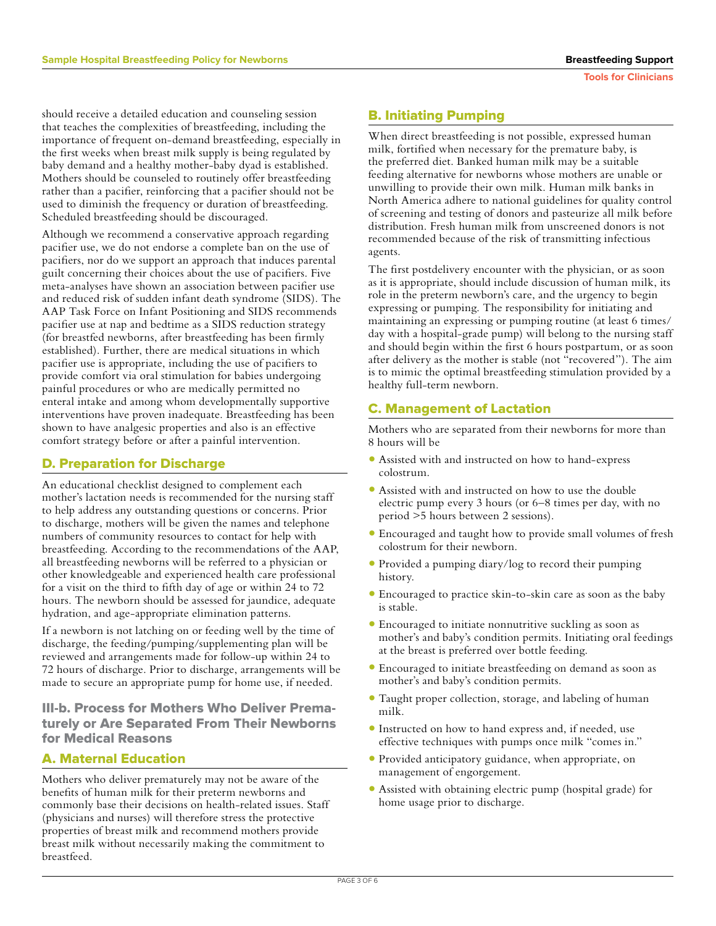should receive a detailed education and counseling session that teaches the complexities of breastfeeding, including the importance of frequent on-demand breastfeeding, especially in the first weeks when breast milk supply is being regulated by baby demand and a healthy mother-baby dyad is established. Mothers should be counseled to routinely offer breastfeeding rather than a pacifier, reinforcing that a pacifier should not be used to diminish the frequency or duration of breastfeeding. Scheduled breastfeeding should be discouraged.

Although we recommend a conservative approach regarding pacifier use, we do not endorse a complete ban on the use of pacifiers, nor do we support an approach that induces parental guilt concerning their choices about the use of pacifiers. Five meta-analyses have shown an association between pacifier use and reduced risk of sudden infant death syndrome (SIDS). The AAP Task Force on Infant Positioning and SIDS recommends pacifier use at nap and bedtime as a SIDS reduction strategy (for breastfed newborns, after breastfeeding has been firmly established). Further, there are medical situations in which pacifier use is appropriate, including the use of pacifiers to provide comfort via oral stimulation for babies undergoing painful procedures or who are medically permitted no enteral intake and among whom developmentally supportive interventions have proven inadequate. Breastfeeding has been shown to have analgesic properties and also is an effective comfort strategy before or after a painful intervention.

## D. Preparation for Discharge

An educational checklist designed to complement each mother's lactation needs is recommended for the nursing staff to help address any outstanding questions or concerns. Prior to discharge, mothers will be given the names and telephone numbers of community resources to contact for help with breastfeeding. According to the recommendations of the AAP, all breastfeeding newborns will be referred to a physician or other knowledgeable and experienced health care professional for a visit on the third to fifth day of age or within 24 to 72 hours. The newborn should be assessed for jaundice, adequate hydration, and age-appropriate elimination patterns.

If a newborn is not latching on or feeding well by the time of discharge, the feeding/pumping/supplementing plan will be reviewed and arrangements made for follow-up within 24 to 72 hours of discharge. Prior to discharge, arrangements will be made to secure an appropriate pump for home use, if needed.

III-b. Process for Mothers Who Deliver Prematurely or Are Separated From Their Newborns for Medical Reasons

## A. Maternal Education

Mothers who deliver prematurely may not be aware of the benefits of human milk for their preterm newborns and commonly base their decisions on health-related issues. Staff (physicians and nurses) will therefore stress the protective properties of breast milk and recommend mothers provide breast milk without necessarily making the commitment to breastfeed.

# B. Initiating Pumping

When direct breastfeeding is not possible, expressed human milk, fortified when necessary for the premature baby, is the preferred diet. Banked human milk may be a suitable feeding alternative for newborns whose mothers are unable or unwilling to provide their own milk. Human milk banks in North America adhere to national guidelines for quality control of screening and testing of donors and pasteurize all milk before distribution. Fresh human milk from unscreened donors is not recommended because of the risk of transmitting infectious agents.

The first postdelivery encounter with the physician, or as soon as it is appropriate, should include discussion of human milk, its role in the preterm newborn's care, and the urgency to begin expressing or pumping. The responsibility for initiating and maintaining an expressing or pumping routine (at least 6 times/ day with a hospital-grade pump) will belong to the nursing staff and should begin within the first 6 hours postpartum, or as soon after delivery as the mother is stable (not "recovered"). The aim is to mimic the optimal breastfeeding stimulation provided by a healthy full-term newborn.

## C. Management of Lactation

Mothers who are separated from their newborns for more than 8 hours will be

- • Assisted with and instructed on how to hand-express colostrum.
- • Assisted with and instructed on how to use the double electric pump every 3 hours (or 6–8 times per day, with no period >5 hours between 2 sessions).
- • Encouraged and taught how to provide small volumes of fresh colostrum for their newborn.
- Provided a pumping diary/log to record their pumping history.
- Encouraged to practice skin-to-skin care as soon as the baby is stable.
- • Encouraged to initiate nonnutritive suckling as soon as mother's and baby's condition permits. Initiating oral feedings at the breast is preferred over bottle feeding.
- • Encouraged to initiate breastfeeding on demand as soon as mother's and baby's condition permits.
- • Taught proper collection, storage, and labeling of human milk.
- • Instructed on how to hand express and, if needed, use effective techniques with pumps once milk "comes in."
- • Provided anticipatory guidance, when appropriate, on management of engorgement.
- Assisted with obtaining electric pump (hospital grade) for home usage prior to discharge.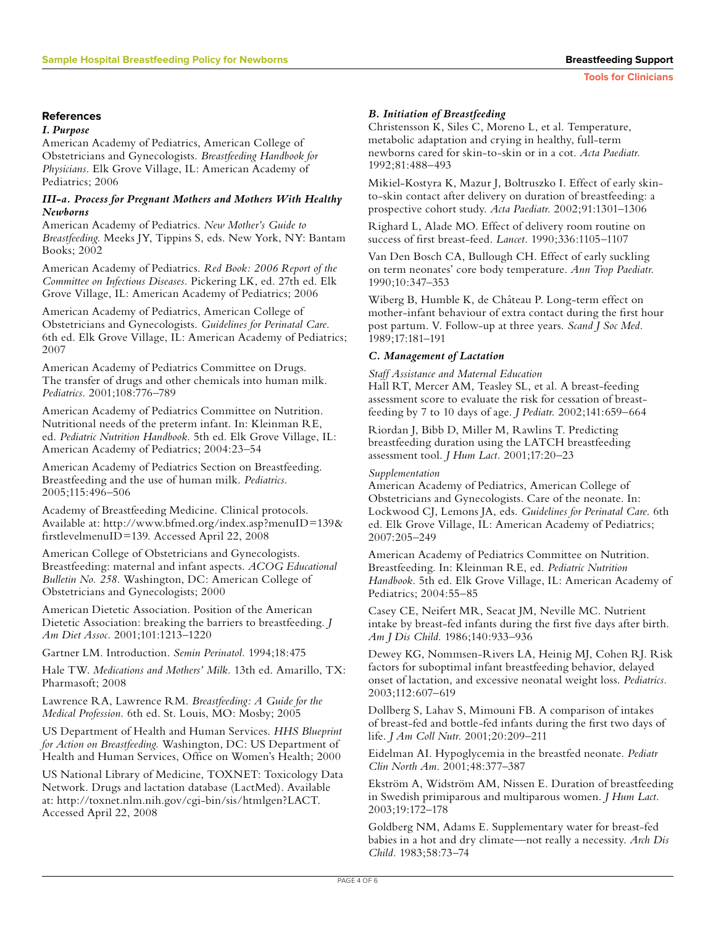## **References**

#### *I. Purpose*

American Academy of Pediatrics, American College of Obstetricians and Gynecologists. *Breastfeeding Handbook for Physicians.* Elk Grove Village, IL: American Academy of Pediatrics; 2006

#### *III-a. Process for Pregnant Mothers and Mothers With Healthy Newborns*

American Academy of Pediatrics. *New Mother's Guide to Breastfeeding.* Meeks JY, Tippins S, eds. New York, NY: Bantam Books; 2002

American Academy of Pediatrics. *Red Book: 2006 Report of the Committee on Infectious Diseases.* Pickering LK, ed. 27th ed. Elk Grove Village, IL: American Academy of Pediatrics; 2006

American Academy of Pediatrics, American College of Obstetricians and Gynecologists. *Guidelines for Perinatal Care.*  6th ed. Elk Grove Village, IL: American Academy of Pediatrics; 2007

American Academy of Pediatrics Committee on Drugs. The transfer of drugs and other chemicals into human milk. *Pediatrics.* 2001;108:776–789

American Academy of Pediatrics Committee on Nutrition. Nutritional needs of the preterm infant. In: Kleinman RE, ed. *Pediatric Nutrition Handbook.* 5th ed. Elk Grove Village, IL: American Academy of Pediatrics; 2004:23–54

American Academy of Pediatrics Section on Breastfeeding. Breastfeeding and the use of human milk. *Pediatrics.*  2005;115:496–506

Academy of Breastfeeding Medicine. Clinical protocols. Available at: http://www.bfmed.org/index.asp?menuID=139& firstlevelmenuID=139. Accessed April 22, 2008

American College of Obstetricians and Gynecologists. Breastfeeding: maternal and infant aspects. *ACOG Educational Bulletin No. 258.* Washington, DC: American College of Obstetricians and Gynecologists; 2000

American Dietetic Association. Position of the American Dietetic Association: breaking the barriers to breastfeeding. *J Am Diet Assoc.* 2001;101:1213–1220

Gartner LM. Introduction. *Semin Perinatol.* 1994;18:475

Hale TW. *Medications and Mothers' Milk.* 13th ed. Amarillo, TX: Pharmasoft; 2008

Lawrence RA, Lawrence RM. *Breastfeeding: A Guide for the Medical Profession.* 6th ed. St. Louis, MO: Mosby; 2005

US Department of Health and Human Services. *HHS Blueprint for Action on Breastfeeding.* Washington, DC: US Department of Health and Human Services, Office on Women's Health; 2000

US National Library of Medicine, TOXNET: Toxicology Data Network. Drugs and lactation database (LactMed). Available at: http://toxnet.nlm.nih.gov/cgi-bin/sis/htmlgen?LACT. Accessed April 22, 2008

## *B. Initiation of Breastfeeding*

Christensson K, Siles C, Moreno L, et al. Temperature, metabolic adaptation and crying in healthy, full-term newborns cared for skin-to-skin or in a cot. *Acta Paediatr.*  1992;81:488–493

Mikiel-Kostyra K, Mazur J, Boltruszko I. Effect of early skinto-skin contact after delivery on duration of breastfeeding: a prospective cohort study. *Acta Paediatr.* 2002;91:1301–1306

Righard L, Alade MO. Effect of delivery room routine on success of first breast-feed. *Lancet.* 1990;336:1105–1107

Van Den Bosch CA, Bullough CH. Effect of early suckling on term neonates' core body temperature. *Ann Trop Paediatr.*  1990;10:347–353

Wiberg B, Humble K, de Château P. Long-term effect on mother-infant behaviour of extra contact during the first hour post partum. V. Follow-up at three years. *Scand J Soc Med.*  1989;17:181–191

## *C. Management of Lactation*

#### *Staff Assistance and Maternal Education* Hall RT, Mercer AM, Teasley SL, et al. A breast-feeding assessment score to evaluate the risk for cessation of breastfeeding by 7 to 10 days of age. *J Pediatr.* 2002;141:659–664

Riordan J, Bibb D, Miller M, Rawlins T. Predicting breastfeeding duration using the LATCH breastfeeding assessment tool. *J Hum Lact.* 2001;17:20–23

#### *Supplementation*

American Academy of Pediatrics, American College of Obstetricians and Gynecologists. Care of the neonate. In: Lockwood CJ, Lemons JA, eds. *Guidelines for Perinatal Care.* 6th ed. Elk Grove Village, IL: American Academy of Pediatrics; 2007:205–249

American Academy of Pediatrics Committee on Nutrition. Breastfeeding. In: Kleinman RE, ed. *Pediatric Nutrition Handbook.* 5th ed. Elk Grove Village, IL: American Academy of Pediatrics; 2004:55–85

Casey CE, Neifert MR, Seacat JM, Neville MC. Nutrient intake by breast-fed infants during the first five days after birth. *Am J Dis Child.* 1986;140:933–936

Dewey KG, Nommsen-Rivers LA, Heinig MJ, Cohen RJ. Risk factors for suboptimal infant breastfeeding behavior, delayed onset of lactation, and excessive neonatal weight loss. *Pediatrics.*  2003;112:607–619

Dollberg S, Lahav S, Mimouni FB. A comparison of intakes of breast-fed and bottle-fed infants during the first two days of life. *J Am Coll Nutr.* 2001;20:209–211

Eidelman AI. Hypoglycemia in the breastfed neonate. *Pediatr Clin North Am.* 2001;48:377–387

Ekström A, Widström AM, Nissen E. Duration of breastfeeding in Swedish primiparous and multiparous women. *J Hum Lact.*  2003;19:172–178

Goldberg NM, Adams E. Supplementary water for breast-fed babies in a hot and dry climate—not really a necessity. *Arch Dis Child.* 1983;58:73–74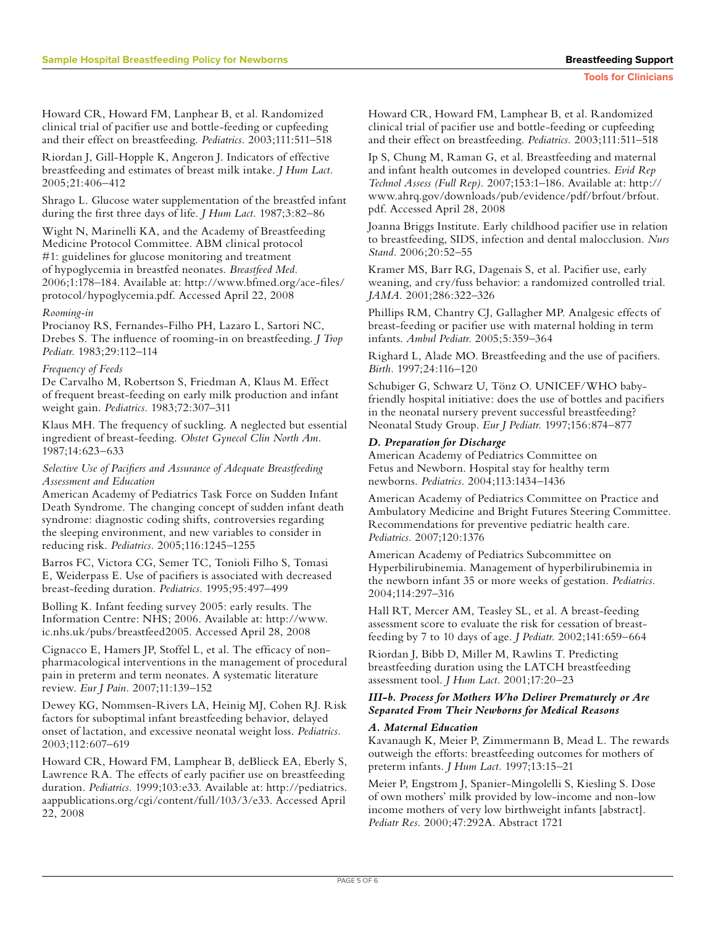Howard CR, Howard FM, Lanphear B, et al. Randomized clinical trial of pacifier use and bottle-feeding or cupfeeding and their effect on breastfeeding. *Pediatrics.* 2003;111:511–518

Riordan J, Gill-Hopple K, Angeron J. Indicators of effective breastfeeding and estimates of breast milk intake. *J Hum Lact.*  2005;21:406–412

Shrago L. Glucose water supplementation of the breastfed infant during the first three days of life. *J Hum Lact.* 1987;3:82–86

Wight N, Marinelli KA, and the Academy of Breastfeeding Medicine Protocol Committee. ABM clinical protocol #1: guidelines for glucose monitoring and treatment of hypoglycemia in breastfed neonates. *Breastfeed Med.*  2006;1:178–184. Available at: http://www.bfmed.org/ace-files/ protocol/hypoglycemia.pdf. Accessed April 22, 2008

#### *Rooming-in*

Procianoy RS, Fernandes-Filho PH, Lazaro L, Sartori NC, Drebes S. The influence of rooming-in on breastfeeding. *J Trop Pediatr.* 1983;29:112–114

#### *Frequency of Feeds*

De Carvalho M, Robertson S, Friedman A, Klaus M. Effect of frequent breast-feeding on early milk production and infant weight gain. *Pediatrics.* 1983;72:307–311

Klaus MH. The frequency of suckling. A neglected but essential ingredient of breast-feeding. *Obstet Gynecol Clin North Am.*  1987;14:623–633

#### *Selective Use of Pacifiers and Assurance of Adequate Breastfeeding Assessment and Education*

American Academy of Pediatrics Task Force on Sudden Infant Death Syndrome. The changing concept of sudden infant death syndrome: diagnostic coding shifts, controversies regarding the sleeping environment, and new variables to consider in reducing risk. *Pediatrics.* 2005;116:1245–1255

Barros FC, Victora CG, Semer TC, Tonioli Filho S, Tomasi E, Weiderpass E. Use of pacifiers is associated with decreased breast-feeding duration. *Pediatrics.* 1995;95:497–499

Bolling K. Infant feeding survey 2005: early results. The Information Centre: NHS; 2006. Available at: http://www. ic.nhs.uk/pubs/breastfeed2005. Accessed April 28, 2008

Cignacco E, Hamers JP, Stoffel L, et al. The efficacy of nonpharmacological interventions in the management of procedural pain in preterm and term neonates. A systematic literature review. *Eur J Pain.* 2007;11:139–152

Dewey KG, Nommsen-Rivers LA, Heinig MJ, Cohen RJ. Risk factors for suboptimal infant breastfeeding behavior, delayed onset of lactation, and excessive neonatal weight loss. *Pediatrics.*  2003;112:607–619

Howard CR, Howard FM, Lamphear B, deBlieck EA, Eberly S, Lawrence RA. The effects of early pacifier use on breastfeeding duration. *Pediatrics.* 1999;103:e33. Available at: http://pediatrics. aappublications.org/cgi/content/full/103/3/e33. Accessed April 22, 2008

Howard CR, Howard FM, Lamphear B, et al. Randomized clinical trial of pacifier use and bottle-feeding or cupfeeding and their effect on breastfeeding. *Pediatrics.* 2003;111:511–518

Ip S, Chung M, Raman G, et al. Breastfeeding and maternal and infant health outcomes in developed countries. *Evid Rep Technol Assess (Full Rep).* 2007;153:1–186. Available at: http:// www.ahrq.gov/downloads/pub/evidence/pdf/brfout/brfout. pdf. Accessed April 28, 2008

Joanna Briggs Institute. Early childhood pacifier use in relation to breastfeeding, SIDS, infection and dental malocclusion. *Nurs Stand.* 2006;20:52–55

Kramer MS, Barr RG, Dagenais S, et al. Pacifier use, early weaning, and cry/fuss behavior: a randomized controlled trial. *JAMA.* 2001;286:322–326

Phillips RM, Chantry CJ, Gallagher MP. Analgesic effects of breast-feeding or pacifier use with maternal holding in term infants. *Ambul Pediatr.* 2005;5:359–364

Righard L, Alade MO. Breastfeeding and the use of pacifiers. *Birth.* 1997;24:116–120

Schubiger G, Schwarz U, Tönz O. UNICEF/WHO babyfriendly hospital initiative: does the use of bottles and pacifiers in the neonatal nursery prevent successful breastfeeding? Neonatal Study Group. *Eur J Pediatr.* 1997;156:874–877

## *D. Preparation for Discharge*

American Academy of Pediatrics Committee on Fetus and Newborn. Hospital stay for healthy term newborns. *Pediatrics.* 2004;113:1434–1436

American Academy of Pediatrics Committee on Practice and Ambulatory Medicine and Bright Futures Steering Committee. Recommendations for preventive pediatric health care. *Pediatrics.* 2007;120:1376

American Academy of Pediatrics Subcommittee on Hyperbilirubinemia. Management of hyperbilirubinemia in the newborn infant 35 or more weeks of gestation. *Pediatrics.*  2004;114:297–316

Hall RT, Mercer AM, Teasley SL, et al. A breast-feeding assessment score to evaluate the risk for cessation of breastfeeding by 7 to 10 days of age. *J Pediatr.* 2002;141:659–664

Riordan J, Bibb D, Miller M, Rawlins T. Predicting breastfeeding duration using the LATCH breastfeeding assessment tool. *J Hum Lact.* 2001;17:20–23

## *III-b. Process for Mothers Who Deliver Prematurely or Are Separated From Their Newborns for Medical Reasons*

#### *A. Maternal Education*

Kavanaugh K, Meier P, Zimmermann B, Mead L. The rewards outweigh the efforts: breastfeeding outcomes for mothers of preterm infants. *J Hum Lact.* 1997;13:15–21

Meier P, Engstrom J, Spanier-Mingolelli S, Kiesling S. Dose of own mothers' milk provided by low-income and non-low income mothers of very low birthweight infants [abstract]. *Pediatr Res.* 2000;47:292A. Abstract 1721